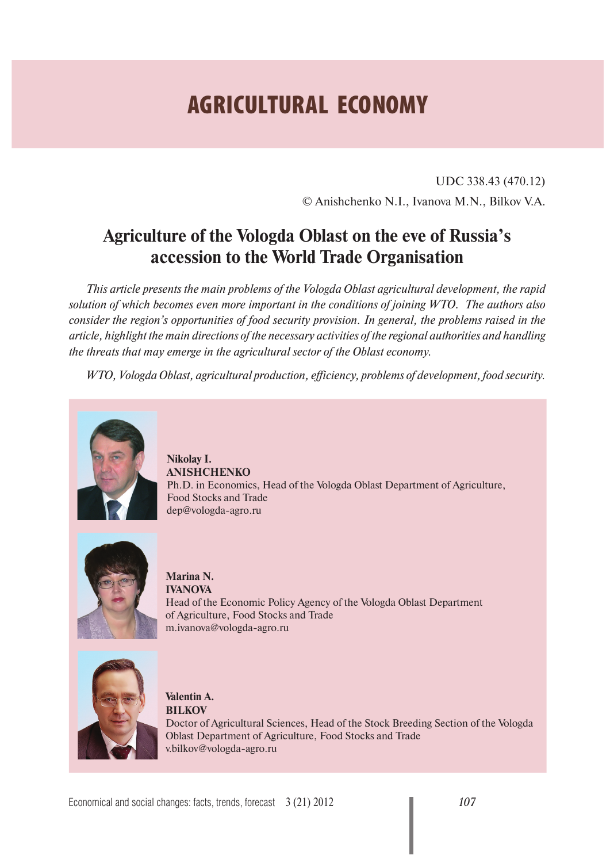# **AGRICULTURAL ECONOMY**

UDC 338.43 (470.12) © Anishchenko N.I., Ivanova M.N., Bilkov V.A.

## **Agriculture of the Vologda Oblast on the eve of Russia's accession to the World Trade Organisation**

*This article presents the main problems of the Vologda Oblast agricultural development, the rapid solution of which becomes even more important in the conditions of joining WTO. The authors also consider the region's opportunities of food security provision. In general, the problems raised in the article, highlight the main directions of the necessary activities of the regional authorities and handling the threats that may emerge in the agricultural sector of the Oblast economy.*

*WTO, Vologda Oblast, agricultural production, efficiency, problems of development, food security.*



**Nikolay I. ANISHCHENKO** Ph.D. in Economics, Head of the Vologda Oblast Department of Agriculture, Food Stocks and Trade dep@vologda-agro.ru



**Marina N. IVANOVA** Head of the Economic Policy Agency of the Vologda Oblast Department of Agriculture, Food Stocks and Trade m.ivanova@vologda-agro.ru



**Valentin A. BILKOV** Doctor of Agricultural Sciences, Head of the Stock Breeding Section of the Vologda Oblast Department of Agriculture, Food Stocks and Trade v.bilkov@vologda-agro.ru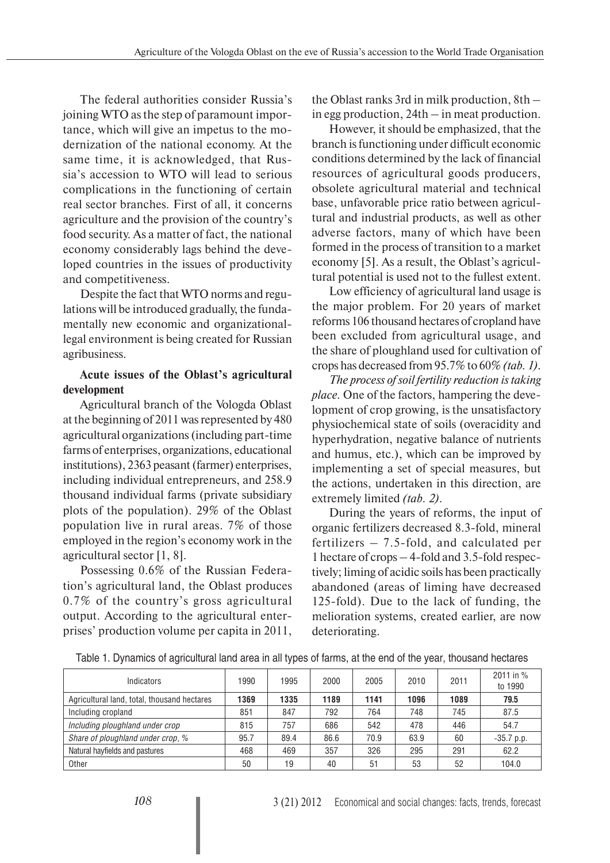The federal authorities consider Russia's joining WTO as the step of paramount importance, which will give an impetus to the modernization of the national economy. At the same time, it is acknowledged, that Russia's accession to WTO will lead to serious complications in the functioning of certain real sector branches. First of all, it concerns agriculture and the provision of the country's food security. As a matter of fact, the national economy considerably lags behind the developed countries in the issues of productivity and competitiveness.

Despite the fact that WTO norms and regulations will be introduced gradually, the fundamentally new economic and organizationallegal environment is being created for Russian agribusiness.

### **Acute issues of the Oblast's agricultural development**

Agricultural branch of the Vologda Oblast at the beginning of 2011 was represented by 480 agricultural organizations (including part-time farms of enterprises, organizations, educational institutions), 2363 peasant (farmer) enterprises, including individual entrepreneurs, and 258.9 thousand individual farms (private subsidiary plots of the population). 29% of the Oblast population live in rural areas. 7% of those employed in the region's economy work in the agricultural sector [1, 8].

Possessing 0.6% of the Russian Federation's agricultural land, the Oblast produces 0.7% of the country's gross agricultural output. According to the agricultural enterprises' production volume per capita in 2011, the Oblast ranks 3rd in milk production, 8th – in egg production, 24th – in meat production.

However, it should be emphasized, that the branch is functioning under difficult economic conditions determined by the lack of financial resources of agricultural goods producers, obsolete agricultural material and technical base, unfavorable price ratio between agricultural and industrial products, as well as other adverse factors, many of which have been formed in the process of transition to a market economy [5]. As a result, the Oblast's agricultural potential is used not to the fullest extent.

Low efficiency of agricultural land usage is the major problem. For 20 years of market reforms 106 thousand hectares of cropland have been excluded from agricultural usage, and the share of ploughland used for cultivation of crops has decreased from 95.7% to 60% *(tab. 1)*.

*The process of soil fertility reduction is taking place.* One of the factors, hampering the development of crop growing, is the unsatisfactory physiochemical state of soils (overacidity and hyperhydration, negative balance of nutrients and humus, etc.), which can be improved by implementing a set of special measures, but the actions, undertaken in this direction, are extremely limited *(tab. 2)*.

During the years of reforms, the input of organic fertilizers decreased 8.3-fold, mineral fertilizers – 7.5-fold, and calculated per 1 hectare of crops – 4-fold and 3.5-fold respectively; liming of acidic soils has been practically abandoned (areas of liming have decreased 125-fold). Due to the lack of funding, the melioration systems, created earlier, are now deteriorating.

Table 1. Dynamics of agricultural land area in all types of farms, at the end of the year, thousand hectares

| Indicators                                  | 1990 | 1995 | 2000 | 2005 | 2010 | 2011 | 2011 in %<br>to 1990 |
|---------------------------------------------|------|------|------|------|------|------|----------------------|
| Agricultural land, total, thousand hectares | 1369 | 1335 | 1189 | 1141 | 1096 | 1089 | 79.5                 |
| Including cropland                          | 851  | 847  | 792  | 764  | 748  | 745  | 87.5                 |
| Including ploughland under crop             | 815  | 757  | 686  | 542  | 478  | 446  | 54.7                 |
| Share of ploughland under crop, %           | 95.7 | 89.4 | 86.6 | 70.9 | 63.9 | 60   | $-35.7$ p.p.         |
| Natural hayfields and pastures              | 468  | 469  | 357  | 326  | 295  | 291  | 62.2                 |
| Other                                       | 50   | 19   | 40   | 51   | 53   | 52   | 104.0                |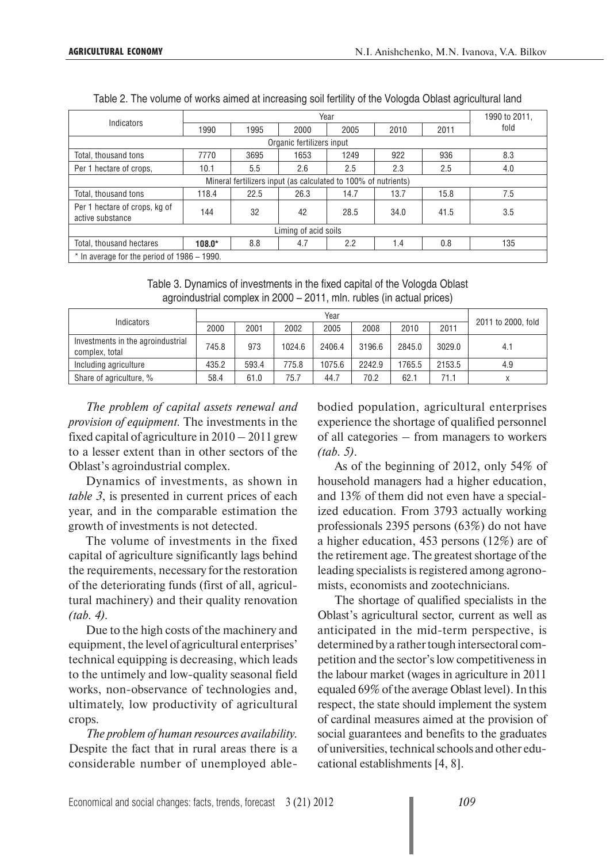| Indicators                                                     |                           |      |      | Year |      |      | 1990 to 2011, |  |  |  |  |
|----------------------------------------------------------------|---------------------------|------|------|------|------|------|---------------|--|--|--|--|
|                                                                | 1990                      | 1995 | 2000 | 2005 | 2010 | 2011 | fold          |  |  |  |  |
|                                                                | Organic fertilizers input |      |      |      |      |      |               |  |  |  |  |
| Total, thousand tons                                           | 7770                      | 3695 | 1653 | 1249 | 922  | 936  | 8.3           |  |  |  |  |
| Per 1 hectare of crops.                                        | 10.1                      | 5.5  | 2.6  | 2.5  | 2.3  | 2.5  | 4.0           |  |  |  |  |
| Mineral fertilizers input (as calculated to 100% of nutrients) |                           |      |      |      |      |      |               |  |  |  |  |
| Total, thousand tons                                           | 118.4                     | 22.5 | 26.3 | 14.7 | 13.7 | 15.8 | 7.5           |  |  |  |  |
| Per 1 hectare of crops, kg of<br>active substance              | 144                       | 32   | 42   | 28.5 | 34.0 | 41.5 | 3.5           |  |  |  |  |
| Liming of acid soils                                           |                           |      |      |      |      |      |               |  |  |  |  |
| Total, thousand hectares                                       | $108.0*$                  | 8.8  | 4.7  | 2.2  | 1.4  | 0.8  | 135           |  |  |  |  |
| $*$ In average for the period of 1986 – 1990.                  |                           |      |      |      |      |      |               |  |  |  |  |

Table 2. The volume of works aimed at increasing soil fertility of the Vologda Oblast agricultural land

Table 3. Dynamics of investments in the fixed capital of the Vologda Oblast agroindustrial complex in 2000 – 2011, mln. rubles (in actual prices)

| Indicators                                          |       |       |        | Year   |        |        |        |                    |
|-----------------------------------------------------|-------|-------|--------|--------|--------|--------|--------|--------------------|
|                                                     | 2000  | 2001  | 2002   | 2005   | 2008   | 2010   | 2011   | 2011 to 2000, fold |
| Investments in the agroindustrial<br>complex, total | 745.8 | 973   | 1024.6 | 2406.4 | 3196.6 | 2845.0 | 3029.0 | 4.1                |
| Including agriculture                               | 435.2 | 593.4 | 775.8  | 1075.6 | 2242.9 | 1765.5 | 2153.5 | 4.9                |
| Share of agriculture, %                             | 58.4  | 61.0  | 75.7   | 44.7   | 70.2   | 62.1   | 71.1   |                    |

*The problem of capital assets renewal and provision of equipment.* The investments in the fixed capital of agriculture in  $2010 - 2011$  grew to a lesser extent than in other sectors of the Oblast's agroindustrial complex.

Dynamics of investments, as shown in *table 3*, is presented in current prices of each year, and in the comparable estimation the growth of investments is not detected.

The volume of investments in the fixed capital of agriculture significantly lags behind the requirements, necessary for the restoration of the deteriorating funds (first of all, agricultural machinery) and their quality renovation *(tab. 4).*

Due to the high costs of the machinery and equipment, the level of agricultural enterprises' technical equipping is decreasing, which leads to the untimely and low-quality seasonal field works, non-observance of technologies and, ultimately, low productivity of agricultural crops.

*The problem of human resources availability.*  Despite the fact that in rural areas there is a considerable number of unemployed ablebodied population, agricultural enterprises experience the shortage of qualified personnel of all categories – from managers to workers *(tab. 5)*.

As of the beginning of 2012, only 54% of household managers had a higher education, and 13% of them did not even have a specialized education. From 3793 actually working professionals 2395 persons (63%) do not have a higher education, 453 persons (12%) are of the retirement age. The greatest shortage of the leading specialists is registered among agronomists, economists and zootechnicians.

The shortage of qualified specialists in the Oblast's agricultural sector, current as well as anticipated in the mid-term perspective, is determined by a rather tough intersectoral competition and the sector's low competitiveness in the labour market (wages in agriculture in 2011 equaled 69% of the average Oblast level). In this respect, the state should implement the system of cardinal measures aimed at the provision of social guarantees and benefits to the graduates of universities, technical schools and other educational establishments [4, 8].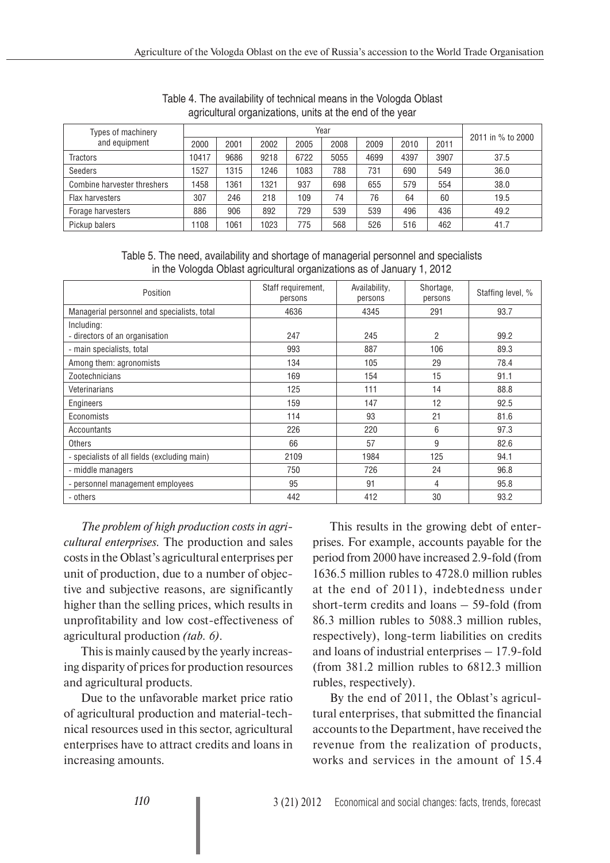| Types of machinery          |       |      |      |      | Year |      |      |      | 2011 in % to 2000 |
|-----------------------------|-------|------|------|------|------|------|------|------|-------------------|
| and equipment               | 2000  | 2001 | 2002 | 2005 | 2008 | 2009 | 2010 | 2011 |                   |
| <b>Tractors</b>             | 10417 | 9686 | 9218 | 6722 | 5055 | 4699 | 4397 | 3907 | 37.5              |
| Seeders                     | 1527  | 1315 | 1246 | 1083 | 788  | 731  | 690  | 549  | 36.0              |
| Combine harvester threshers | 1458  | 1361 | 1321 | 937  | 698  | 655  | 579  | 554  | 38.0              |
| Flax harvesters             | 307   | 246  | 218  | 109  | 74   | 76   | 64   | 60   | 19.5              |
| Forage harvesters           | 886   | 906  | 892  | 729  | 539  | 539  | 496  | 436  | 49.2              |
| Pickup balers               | 108   | 1061 | 1023 | 775  | 568  | 526  | 516  | 462  | 41.7              |

Table 4. The availability of technical means in the Vologda Oblast agricultural organizations, units at the end of the year

Table 5. The need, availability and shortage of managerial personnel and specialists in the Vologda Oblast agricultural organizations as of January 1, 2012

| Position                                     | Staff requirement,<br>persons | Availability,<br>persons | Shortage,<br>persons | Staffing level, % |
|----------------------------------------------|-------------------------------|--------------------------|----------------------|-------------------|
| Managerial personnel and specialists, total  | 4636                          | 4345                     | 291                  | 93.7              |
| Including:                                   |                               |                          |                      |                   |
| - directors of an organisation               | 247                           | 245                      | $\overline{2}$       | 99.2              |
| - main specialists, total                    | 993                           | 887                      | 106                  | 89.3              |
| Among them: agronomists                      | 134                           | 105                      | 29                   | 78.4              |
| Zootechnicians                               | 169                           | 154                      | 15                   | 91.1              |
| Veterinarians                                | 125                           | 111                      | 14                   | 88.8              |
| Engineers                                    | 159                           | 147                      | 12                   | 92.5              |
| Economists                                   | 114                           | 93                       | 21                   | 81.6              |
| Accountants                                  | 226                           | 220                      | 6                    | 97.3              |
| <b>Others</b>                                | 66                            | 57                       | 9                    | 82.6              |
| - specialists of all fields (excluding main) | 2109                          | 1984                     | 125                  | 94.1              |
| - middle managers                            | 750                           | 726                      | 24                   | 96.8              |
| - personnel management employees             | 95                            | 91                       | 4                    | 95.8              |
| - others                                     | 442                           | 412                      | 30                   | 93.2              |

*The problem of high production costs in agricultural enterprises.* The production and sales costs in the Oblast's agricultural enterprises per unit of production, due to a number of objective and subjective reasons, are significantly higher than the selling prices, which results in unprofitability and low cost-effectiveness of agricultural production *(tab. 6)*.

This is mainly caused by the yearly increasing disparity of prices for production resources and agricultural products.

Due to the unfavorable market price ratio of agricultural production and material-technical resources used in this sector, agricultural enterprises have to attract credits and loans in increasing amounts.

This results in the growing debt of enterprises. For example, accounts payable for the period from 2000 have increased 2.9-fold (from 1636.5 million rubles to 4728.0 million rubles at the end of 2011), indebtedness under short-term credits and loans – 59-fold (from 86.3 million rubles to 5088.3 million rubles, respectively), long-term liabilities on credits and loans of industrial enterprises – 17.9-fold (from 381.2 million rubles to 6812.3 million rubles, respectively).

By the end of 2011, the Oblast's agricultural enterprises, that submitted the financial accounts to the Department, have received the revenue from the realization of products, works and services in the amount of 15.4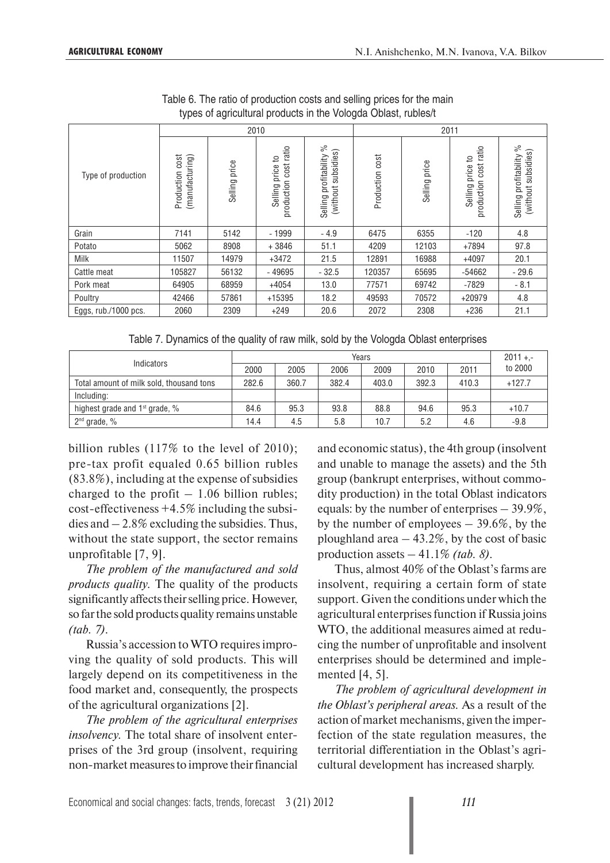|                      | . .                                   |               |                                              |                                                          |                 |               |                                                    |                                                            |
|----------------------|---------------------------------------|---------------|----------------------------------------------|----------------------------------------------------------|-----------------|---------------|----------------------------------------------------|------------------------------------------------------------|
|                      |                                       |               | 2010                                         |                                                          |                 | 2011          |                                                    |                                                            |
| Type of production   | (manufacturing)<br>cost<br>Production | Selling price | cost ratio<br>Selling price to<br>production | వ్<br>subsidies)<br>profitability<br>(without<br>Selling | Production cost | Selling price | cost ratio<br>٩ŧ<br>price<br>production<br>Selling | ్ల<br>subsidies)<br>profitability<br>(without :<br>Selling |
| Grain                | 7141                                  | 5142          | $-1999$                                      | $-4.9$                                                   | 6475            | 6355          | $-120$                                             | 4.8                                                        |
| Potato               | 5062                                  | 8908          | $+3846$                                      | 51.1                                                     | 4209            | 12103         | +7894                                              | 97.8                                                       |
| Milk                 | 11507                                 | 14979         | $+3472$                                      | 21.5                                                     | 12891           | 16988         | $+4097$                                            | 20.1                                                       |
| Cattle meat          | 105827                                | 56132         | $-49695$                                     | $-32.5$                                                  | 120357          | 65695         | $-54662$                                           | $-29.6$                                                    |
| Pork meat            | 64905                                 | 68959         | $+4054$                                      | 13.0                                                     | 77571           | 69742         | $-7829$                                            | $-8.1$                                                     |
| Poultry              | 42466                                 | 57861         | +15395                                       | 18.2                                                     | 49593           | 70572         | +20979                                             | 4.8                                                        |
| Eggs, rub./1000 pcs. | 2060                                  | 2309          | $+249$                                       | 20.6                                                     | 2072            | 2308          | $+236$                                             | 21.1                                                       |

Table 6. The ratio of production costs and selling prices for the main types of agricultural products in the Vologda Oblast, rubles/t

| Table 7. Dynamics of the quality of raw milk, sold by the Vologda Oblast enterprises |  |  |  |
|--------------------------------------------------------------------------------------|--|--|--|

|                                          |       |       |       | Years |       |       | $2011 + -$ |
|------------------------------------------|-------|-------|-------|-------|-------|-------|------------|
| Indicators                               | 2000  | 2005  | 2006  | 2009  | 2010  | 2011  | to 2000    |
| Total amount of milk sold, thousand tons | 282.6 | 360.7 | 382.4 | 403.0 | 392.3 | 410.3 | $+127.7$   |
| Including:                               |       |       |       |       |       |       |            |
| highest grade and $1st$ grade, %         | 84.6  | 95.3  | 93.8  | 88.8  | 94.6  | 95.3  | $+10.7$    |
| $2nd$ grade, %                           | 14.4  | 4.5   | 5.8   | 10.7  | 5.2   | 4.6   | $-9.8$     |

billion rubles (117% to the level of 2010); pre-tax profit equaled 0.65 billion rubles (83.8%), including at the expense of subsidies charged to the profit  $-1.06$  billion rubles; cost-effectiveness +4.5% including the subsidies and  $-2.8\%$  excluding the subsidies. Thus, without the state support, the sector remains unprofitable [7, 9].

*The problem of the manufactured and sold products quality.* The quality of the products significantly affects their selling price. However, so far the sold products quality remains unstable *(tab. 7)*.

Russia's accession to WTO requires improving the quality of sold products. This will largely depend on its competitiveness in the food market and, consequently, the prospects of the agricultural organizations [2].

*The problem of the agricultural enterprises insolvency.* The total share of insolvent enterprises of the 3rd group (insolvent, requiring non-market measures to improve their financial

and economic status), the 4th group (insolvent and unable to manage the assets) and the 5th group (bankrupt enterprises, without commodity production) in the total Oblast indicators equals: by the number of enterprises – 39.9%, by the number of employees – 39.6%, by the ploughland area  $-43.2\%$ , by the cost of basic production assets – 41.1% *(tab. 8)*.

Thus, almost 40% of the Oblast's farms are insolvent, requiring a certain form of state support. Given the conditions under which the agricultural enterprises function if Russia joins WTO, the additional measures aimed at reducing the number of unprofitable and insolvent enterprises should be determined and implemented [4, 5].

*The problem of agricultural development in the Oblast's peripheral areas.* As a result of the action of market mechanisms, given the imperfection of the state regulation measures, the territorial differentiation in the Oblast's agricultural development has increased sharply.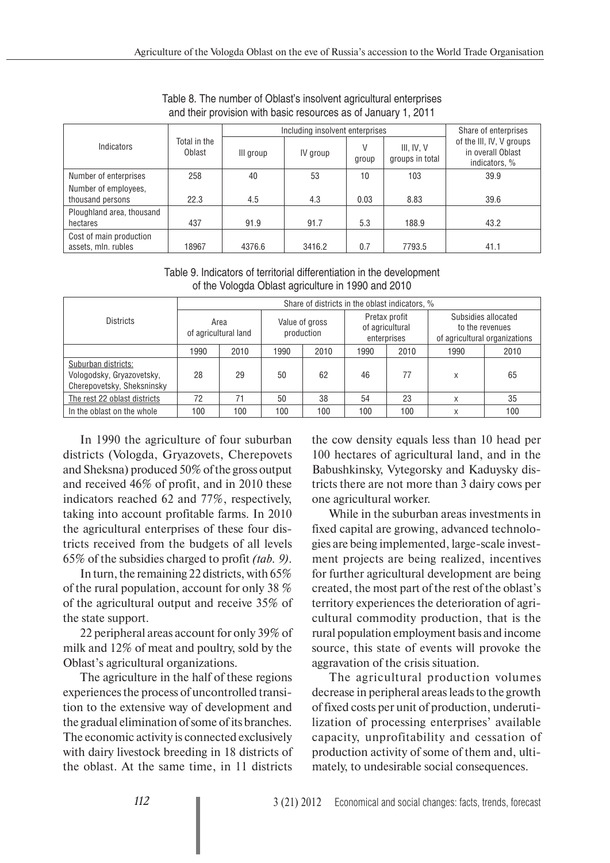|                                                |                        |           | Including insolvent enterprises |            |                               | Share of enterprises                                           |
|------------------------------------------------|------------------------|-----------|---------------------------------|------------|-------------------------------|----------------------------------------------------------------|
| Indicators                                     | Total in the<br>Oblast | III group | IV group                        | V<br>group | III, IV, V<br>groups in total | of the III, IV, V groups<br>in overall Oblast<br>indicators, % |
| Number of enterprises                          | 258                    | 40        | 53                              | 10         | 103                           | 39.9                                                           |
| Number of employees,<br>thousand persons       | 22.3                   | 4.5       | 4.3                             | 0.03       | 8.83                          | 39.6                                                           |
| Ploughland area, thousand<br>hectares          | 437                    | 91.9      | 91.7                            | 5.3        | 188.9                         | 43.2                                                           |
| Cost of main production<br>assets, mln. rubles | 18967                  | 4376.6    | 3416.2                          | 0.7        | 7793.5                        | 41.1                                                           |

Table 8. The number of Oblast's insolvent agricultural enterprises and their provision with basic resources as of January 1, 2011

| Table 9. Indicators of territorial differentiation in the development |
|-----------------------------------------------------------------------|
| of the Vologda Oblast agriculture in 1990 and 2010                    |

|                                                                                | Share of districts in the oblast indicators, % |      |                              |      |                                                 |      |                                                                         |      |
|--------------------------------------------------------------------------------|------------------------------------------------|------|------------------------------|------|-------------------------------------------------|------|-------------------------------------------------------------------------|------|
| <b>Districts</b>                                                               | Area<br>of agricultural land                   |      | Value of gross<br>production |      | Pretax profit<br>of agricultural<br>enterprises |      | Subsidies allocated<br>to the revenues<br>of agricultural organizations |      |
|                                                                                | 1990                                           | 2010 | 1990                         | 2010 | 1990                                            | 2010 | 1990                                                                    | 2010 |
| Suburban districts:<br>Vologodsky, Gryazovetsky,<br>Cherepovetsky, Sheksninsky | 28                                             | 29   | 50                           | 62   | 46                                              | 77   | X                                                                       | 65   |
| The rest 22 oblast districts                                                   | 72                                             | 71   | 50                           | 38   | 54                                              | 23   | X                                                                       | 35   |
| In the oblast on the whole                                                     | 100                                            | 100  | 100                          | 100  | 100                                             | 100  | X                                                                       | 100  |

In 1990 the agriculture of four suburban districts (Vologda, Gryazovets, Cherepovets and Sheksna) produced 50% of the gross output and received 46% of profit, and in 2010 these indicators reached 62 and 77%, respectively, taking into account profitable farms. In 2010 the agricultural enterprises of these four districts received from the budgets of all levels 65% of the subsidies charged to profit *(tab. 9)*.

In turn, the remaining 22 districts, with 65% of the rural population, account for only 38 % of the agricultural output and receive 35% of the state support.

22 peripheral areas account for only 39% of milk and 12% of meat and poultry, sold by the Oblast's agricultural organizations.

The agriculture in the half of these regions experiences the process of uncontrolled transition to the extensive way of development and the gradual elimination of some of its branches. The economic activity is connected exclusively with dairy livestock breeding in 18 districts of the oblast. At the same time, in 11 districts

the cow density equals less than 10 head per 100 hectares of agricultural land, and in the Babushkinsky, Vytegorsky and Kaduysky districts there are not more than 3 dairy cows per one agricultural worker.

While in the suburban areas investments in fixed capital are growing, advanced technologies are being implemented, large-scale investment projects are being realized, incentives for further agricultural development are being created, the most part of the rest of the oblast's territory experiences the deterioration of agricultural commodity production, that is the rural population employment basis and income source, this state of events will provoke the aggravation of the crisis situation.

The agricultural production volumes decrease in peripheral areas leads to the growth of fixed costs per unit of production, underutilization of processing enterprises' available capacity, unprofitability and cessation of production activity of some of them and, ultimately, to undesirable social consequences.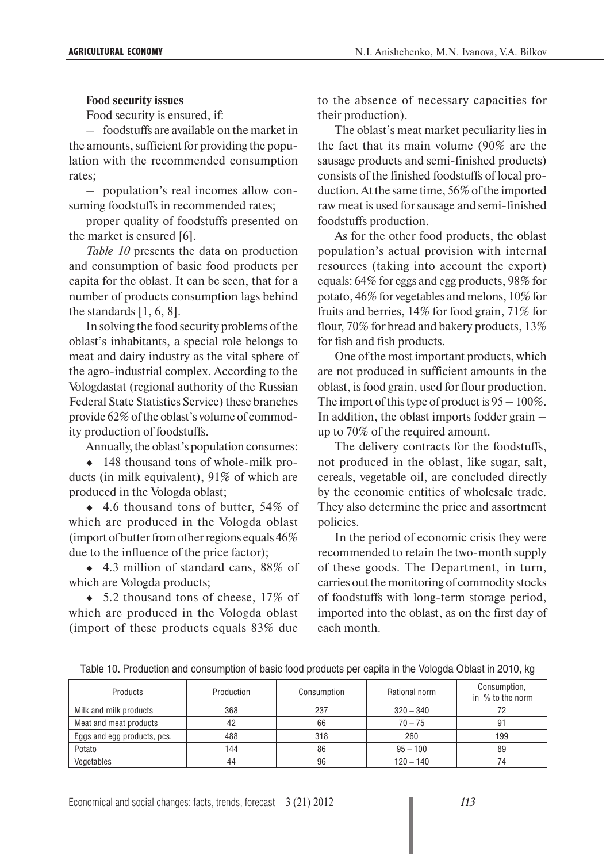#### **Food security issues**

Food security is ensured, if:

– foodstuffs are available on the market in the amounts, sufficient for providing the population with the recommended consumption rates;

– population's real incomes allow consuming foodstuffs in recommended rates;

proper quality of foodstuffs presented on the market is ensured [6].

*Table 10* presents the data on production and consumption of basic food products per capita for the oblast. It can be seen, that for a number of products consumption lags behind the standards [1, 6, 8].

In solving the food security problems of the oblast's inhabitants, a special role belongs to meat and dairy industry as the vital sphere of the agro-industrial complex. According to the Vologdastat (regional authority of the Russian Federal State Statistics Service) these branches provide 62% of the oblast's volume of commodity production of foodstuffs.

Annually, the oblast's population consumes:

• 148 thousand tons of whole-milk products (in milk equivalent), 91% of which are produced in the Vologda oblast;

◆ 4.6 thousand tons of butter, 54% of which are produced in the Vologda oblast (import of butter from other regions equals 46% due to the influence of the price factor);

◆ 4.3 million of standard cans, 88% of which are Vologda products;

 $\bullet$  5.2 thousand tons of cheese, 17% of which are produced in the Vologda oblast (import of these products equals 83% due

to the absence of necessary capacities for their production).

The oblast's meat market peculiarity lies in the fact that its main volume (90% are the sausage products and semi-finished products) consists of the finished foodstuffs of local production. At the same time, 56% of the imported raw meat is used for sausage and semi-finished foodstuffs production.

As for the other food products, the oblast population's actual provision with internal resources (taking into account the export) equals: 64% for eggs and egg products, 98% for potato, 46% for vegetables and melons, 10% for fruits and berries, 14% for food grain, 71% for flour, 70% for bread and bakery products, 13% for fish and fish products.

One of the most important products, which are not produced in sufficient amounts in the oblast, is food grain, used for flour production. The import of this type of product is  $95 - 100\%$ . In addition, the oblast imports fodder grain – up to 70% of the required amount.

The delivery contracts for the foodstuffs, not produced in the oblast, like sugar, salt, cereals, vegetable oil, are concluded directly by the economic entities of wholesale trade. They also determine the price and assortment policies.

In the period of economic crisis they were recommended to retain the two-month supply of these goods. The Department, in turn, carries out the monitoring of commodity stocks of foodstuffs with long-term storage period, imported into the oblast, as on the first day of each month.

Table 10. Production and consumption of basic food products per capita in the Vologda Oblast in 2010, kg

| Products                    | Production | Consumption | Rational norm | Consumption,<br>in % to the norm |
|-----------------------------|------------|-------------|---------------|----------------------------------|
| Milk and milk products      | 368        | 237         | $320 - 340$   |                                  |
| Meat and meat products      |            | 66          | $70 - 75$     | 91                               |
| Eggs and egg products, pcs. | 488        | 318         | 260           | 199                              |
| Potato                      | 144        | 86          | $95 - 100$    | 89                               |
| Vegetables                  | 44         | 96          | $120 - 140$   | 74                               |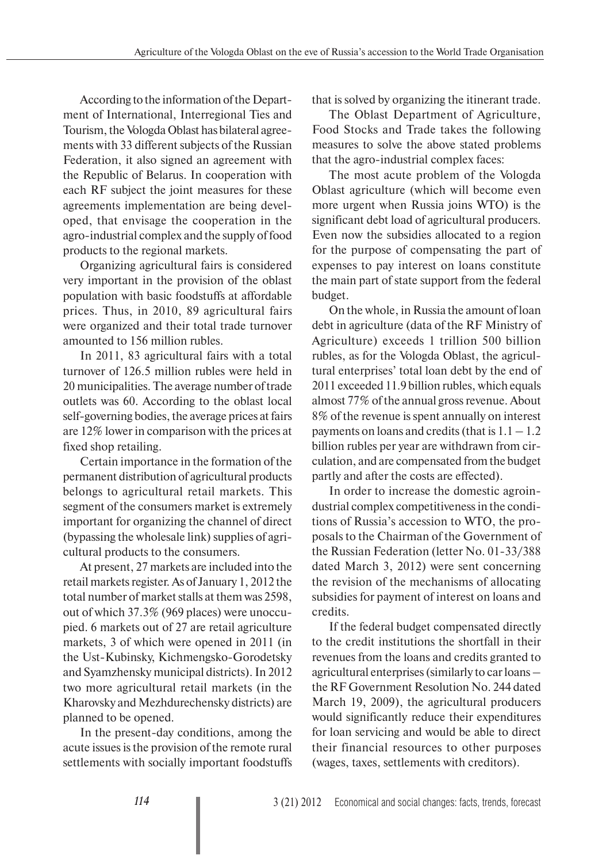According to the information of the Department of International, Interregional Ties and Tourism, the Vologda Oblast has bilateral agreements with 33 different subjects of the Russian Federation, it also signed an agreement with the Republic of Belarus. In cooperation with each RF subject the joint measures for these agreements implementation are being developed, that envisage the cooperation in the agro-industrial complex and the supply of food products to the regional markets.

Organizing agricultural fairs is considered very important in the provision of the oblast population with basic foodstuffs at affordable prices. Thus, in 2010, 89 agricultural fairs were organized and their total trade turnover amounted to 156 million rubles.

In 2011, 83 agricultural fairs with a total turnover of 126.5 million rubles were held in 20 municipalities. The average number of trade outlets was 60. According to the oblast local self-governing bodies, the average prices at fairs are 12% lower in comparison with the prices at fixed shop retailing.

Certain importance in the formation of the permanent distribution of agricultural products belongs to agricultural retail markets. This segment of the consumers market is extremely important for organizing the channel of direct (bypassing the wholesale link) supplies of agricultural products to the consumers.

At present, 27 markets are included into the retail markets register. As of January 1, 2012 the total number of market stalls at them was 2598, out of which 37.3% (969 places) were unoccupied. 6 markets out of 27 are retail agriculture markets, 3 of which were opened in 2011 (in the Ust-Kubinsky, Kichmengsko-Gorodetsky and Syamzhensky municipal districts). In 2012 two more agricultural retail markets (in the Kharovsky and Mezhdurechensky districts) are planned to be opened.

In the present-day conditions, among the acute issues is the provision of the remote rural settlements with socially important foodstuffs

that is solved by organizing the itinerant trade.

The Oblast Department of Agriculture, Food Stocks and Trade takes the following measures to solve the above stated problems that the agro-industrial complex faces:

The most acute problem of the Vologda Oblast agriculture (which will become even more urgent when Russia joins WTO) is the significant debt load of agricultural producers. Even now the subsidies allocated to a region for the purpose of compensating the part of expenses to pay interest on loans constitute the main part of state support from the federal budget.

On the whole, in Russia the amount of loan debt in agriculture (data of the RF Ministry of Agriculture) exceeds 1 trillion 500 billion rubles, as for the Vologda Oblast, the agricultural enterprises' total loan debt by the end of 2011 exceeded 11.9 billion rubles, which equals almost 77% of the annual gross revenue. About 8% of the revenue is spent annually on interest payments on loans and credits (that is  $1.1 - 1.2$ ) billion rubles per year are withdrawn from circulation, and are compensated from the budget partly and after the costs are effected).

In order to increase the domestic agroindustrial complex competitiveness in the conditions of Russia's accession to WTO, the proposals to the Chairman of the Government of the Russian Federation (letter No. 01-33/388 dated March 3, 2012) were sent concerning the revision of the mechanisms of allocating subsidies for payment of interest on loans and credits.

If the federal budget compensated directly to the credit institutions the shortfall in their revenues from the loans and credits granted to agricultural enterprises (similarly to car loans – the RF Government Resolution No. 244 dated March 19, 2009), the agricultural producers would significantly reduce their expenditures for loan servicing and would be able to direct their financial resources to other purposes (wages, taxes, settlements with creditors).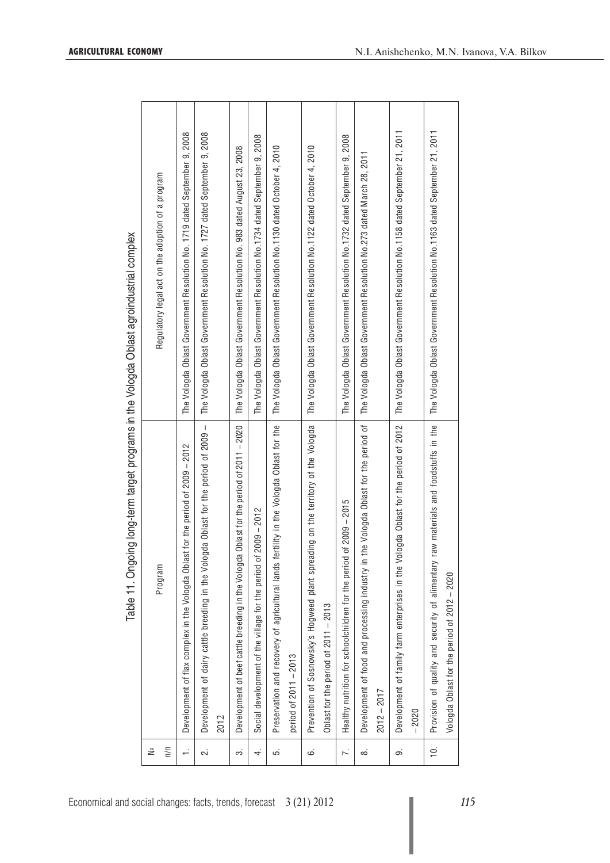Table 11. Ongoing long-term target programs in the Vologda Oblast agroindustrial complex Table 11. Ongoing long-term target programs in the Vologda Oblast agroindustrial complex

 $\sqrt{ }$